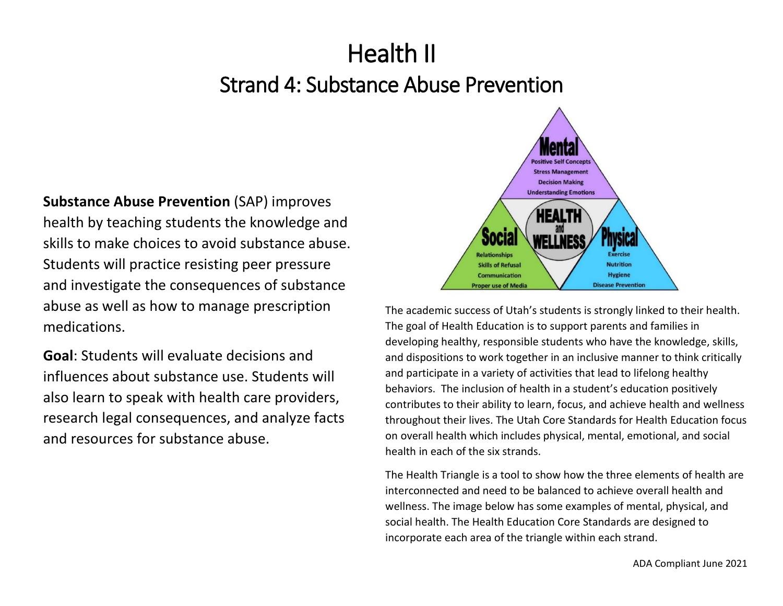# Health II Strand 4: Substance Abuse Prevention

**Substance Abuse Prevention** (SAP) improves health by teaching students the knowledge and skills to make choices to avoid substance abuse. Students will practice resisting peer pressure and investigate the consequences of substance abuse as well as how to manage prescription medications.

**Goal**: Students will evaluate decisions and influences about substance use. Students will also learn to speak with health care providers, research legal consequences, and analyze facts and resources for substance abuse.



The academic success of Utah's students is strongly linked to their health. The goal of Health Education is to support parents and families in developing healthy, responsible students who have the knowledge, skills, and dispositions to work together in an inclusive manner to think critically and participate in a variety of activities that lead to lifelong healthy behaviors. The inclusion of health in a student's education positively contributes to their ability to learn, focus, and achieve health and wellness throughout their lives. The Utah Core Standards for Health Education focus on overall health which includes physical, mental, emotional, and social health in each of the six strands.

The Health Triangle is a tool to show how the three elements of health are interconnected and need to be balanced to achieve overall health and wellness. The image below has some examples of mental, physical, and social health. The Health Education Core Standards are designed to incorporate each area of the triangle within each strand.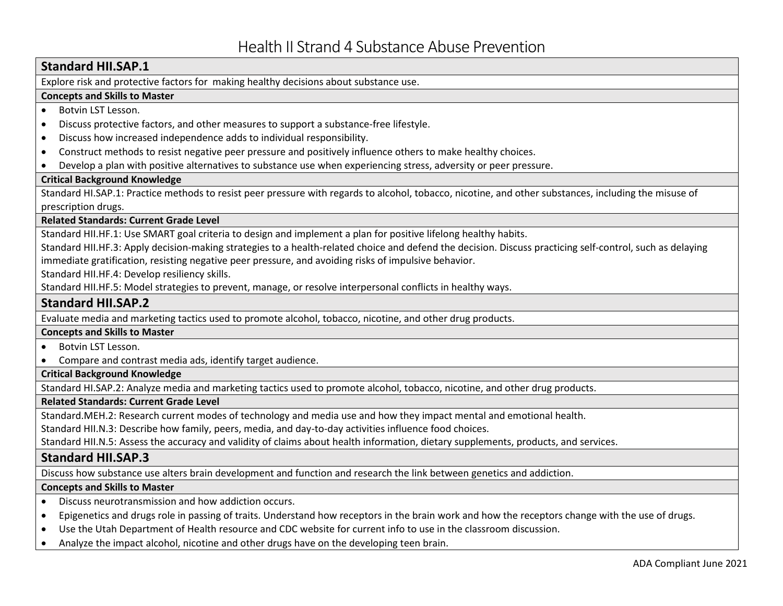# **Standard HII.SAP.1**

Explore risk and protective factors for making healthy decisions about substance use.

# **Concepts and Skills to Master**

- Botvin LST Lesson.
- Discuss protective factors, and other measures to support a substance-free lifestyle.
- Discuss how increased independence adds to individual responsibility.
- Construct methods to resist negative peer pressure and positively influence others to make healthy choices.
- Develop a plan with positive alternatives to substance use when experiencing stress, adversity or peer pressure.

# **Critical Background Knowledge**

Standard HI.SAP.1: Practice methods to resist peer pressure with regards to alcohol, tobacco, nicotine, and other substances, including the misuse of prescription drugs.

# **Related Standards: Current Grade Level**

Standard HII.HF.1: Use SMART goal criteria to design and implement a plan for positive lifelong healthy habits.

Standard HII.HF.3: Apply decision-making strategies to a health-related choice and defend the decision. Discuss practicing self-control, such as delaying immediate gratification, resisting negative peer pressure, and avoiding risks of impulsive behavior.

Standard HII.HF.4: Develop resiliency skills.

Standard HII.HF.5: Model strategies to prevent, manage, or resolve interpersonal conflicts in healthy ways.

# **Standard HII.SAP.2**

Evaluate media and marketing tactics used to promote alcohol, tobacco, nicotine, and other drug products.

# **Concepts and Skills to Master**

# • Botvin LST Lesson.

• Compare and contrast media ads, identify target audience.

# **Critical Background Knowledge**

Standard HI.SAP.2: Analyze media and marketing tactics used to promote alcohol, tobacco, nicotine, and other drug products.

# **Related Standards: Current Grade Level**

Standard.MEH.2: Research current modes of technology and media use and how they impact mental and emotional health.

Standard HII.N.3: Describe how family, peers, media, and day-to-day activities influence food choices.

Standard HII.N.5: Assess the accuracy and validity of claims about health information, dietary supplements, products, and services.

# **Standard HII.SAP.3**

Discuss how substance use alters brain development and function and research the link between genetics and addiction.

# **Concepts and Skills to Master**

- Discuss neurotransmission and how addiction occurs.
- Epigenetics and drugs role in passing of traits. Understand how receptors in the brain work and how the receptors change with the use of drugs.
- Use the Utah Department of Health resource and CDC website for current info to use in the classroom discussion.
- Analyze the impact alcohol, nicotine and other drugs have on the developing teen brain.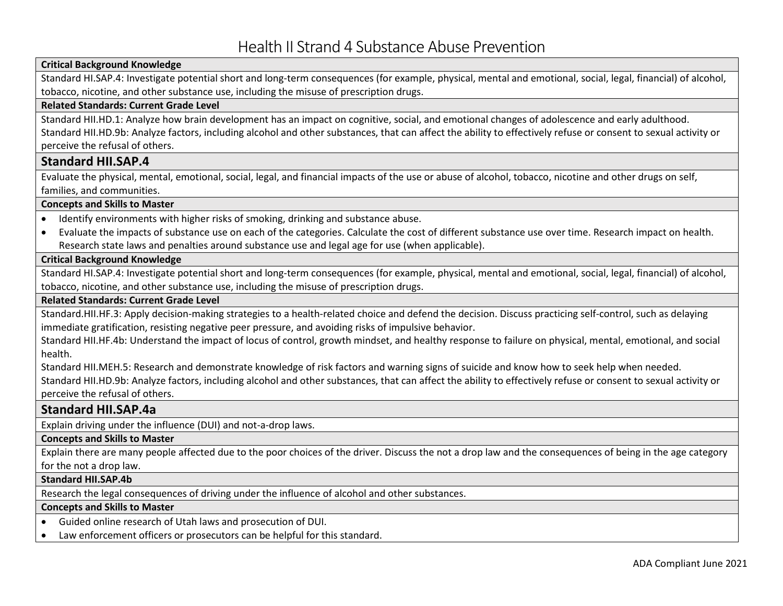# **Critical Background Knowledge**

Standard HI.SAP.4: Investigate potential short and long-term consequences (for example, physical, mental and emotional, social, legal, financial) of alcohol, tobacco, nicotine, and other substance use, including the misuse of prescription drugs.

#### **Related Standards: Current Grade Level**

Standard HII.HD.1: Analyze how brain development has an impact on cognitive, social, and emotional changes of adolescence and early adulthood. Standard HII.HD.9b: Analyze factors, including alcohol and other substances, that can affect the ability to effectively refuse or consent to sexual activity or perceive the refusal of others.

# **Standard HII.SAP.4**

Evaluate the physical, mental, emotional, social, legal, and financial impacts of the use or abuse of alcohol, tobacco, nicotine and other drugs on self, families, and communities.

#### **Concepts and Skills to Master**

- Identify environments with higher risks of smoking, drinking and substance abuse.
- Evaluate the impacts of substance use on each of the categories. Calculate the cost of different substance use over time. Research impact on health. Research state laws and penalties around substance use and legal age for use (when applicable).

#### **Critical Background Knowledge**

Standard HI.SAP.4: Investigate potential short and long-term consequences (for example, physical, mental and emotional, social, legal, financial) of alcohol, tobacco, nicotine, and other substance use, including the misuse of prescription drugs.

#### **Related Standards: Current Grade Level**

Standard.HII.HF.3: Apply decision-making strategies to a health-related choice and defend the decision. Discuss practicing self-control, such as delaying immediate gratification, resisting negative peer pressure, and avoiding risks of impulsive behavior.

Standard HII.HF.4b: Understand the impact of locus of control, growth mindset, and healthy response to failure on physical, mental, emotional, and social health.

Standard HII.MEH.5: Research and demonstrate knowledge of risk factors and warning signs of suicide and know how to seek help when needed. Standard HII.HD.9b: Analyze factors, including alcohol and other substances, that can affect the ability to effectively refuse or consent to sexual activity or perceive the refusal of others.

# **Standard HII.SAP.4a**

Explain driving under the influence (DUI) and not-a-drop laws.

#### **Concepts and Skills to Master**

Explain there are many people affected due to the poor choices of the driver. Discuss the not a drop law and the consequences of being in the age category for the not a drop law.

#### **Standard HII.SAP.4b**

Research the legal consequences of driving under the influence of alcohol and other substances.

# **Concepts and Skills to Master**

• Guided online research of Utah laws and prosecution of DUI.

• Law enforcement officers or prosecutors can be helpful for this standard.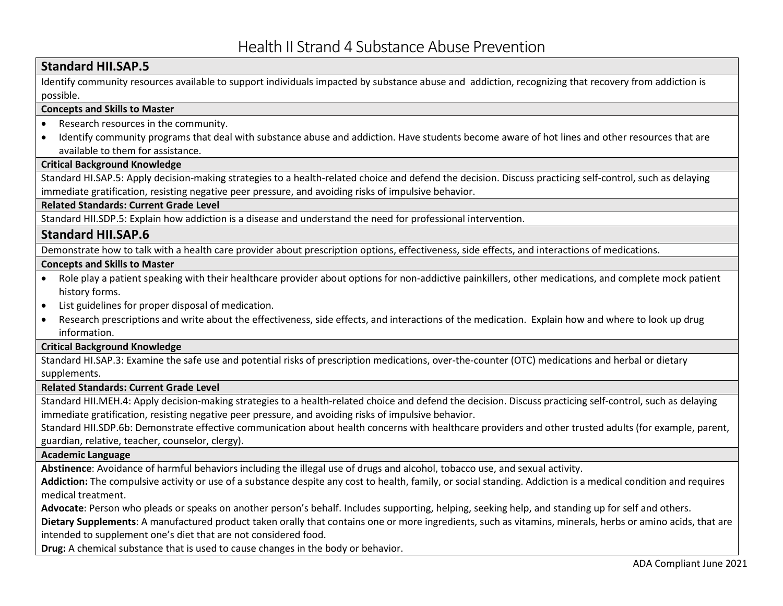# **Standard HII.SAP.5**

Identify community resources available to support individuals impacted by substance abuse and addiction, recognizing that recovery from addiction is possible.

# **Concepts and Skills to Master**

- Research resources in the community.
- Identify community programs that deal with substance abuse and addiction. Have students become aware of hot lines and other resources that are available to them for assistance.

# **Critical Background Knowledge**

Standard HI.SAP.5: Apply decision-making strategies to a health-related choice and defend the decision. Discuss practicing self-control, such as delaying immediate gratification, resisting negative peer pressure, and avoiding risks of impulsive behavior.

# **Related Standards: Current Grade Level**

Standard HII.SDP.5: Explain how addiction is a disease and understand the need for professional intervention.

# **Standard HII.SAP.6**

Demonstrate how to talk with a health care provider about prescription options, effectiveness, side effects, and interactions of medications.

# **Concepts and Skills to Master**

- Role play a patient speaking with their healthcare provider about options for non-addictive painkillers, other medications, and complete mock patient history forms.
- List guidelines for proper disposal of medication.
- Research prescriptions and write about the effectiveness, side effects, and interactions of the medication. Explain how and where to look up drug information.

# **Critical Background Knowledge**

Standard HI.SAP.3: Examine the safe use and potential risks of prescription medications, over-the-counter (OTC) medications and herbal or dietary supplements.

# **Related Standards: Current Grade Level**

Standard HII.MEH.4: Apply decision-making strategies to a health-related choice and defend the decision. Discuss practicing self-control, such as delaying immediate gratification, resisting negative peer pressure, and avoiding risks of impulsive behavior.

Standard HII.SDP.6b: Demonstrate effective communication about health concerns with healthcare providers and other trusted adults (for example, parent, guardian, relative, teacher, counselor, clergy).

# **Academic Language**

**Abstinence**: Avoidance of harmful behaviors including the illegal use of drugs and alcohol, tobacco use, and sexual activity.

**Addiction:** The compulsive activity or use of a substance despite any cost to health, family, or social standing. Addiction is a medical condition and requires medical treatment.

**Advocate**: Person who pleads or speaks on another person's behalf. Includes supporting, helping, seeking help, and standing up for self and others.

**Dietary Supplements**: A manufactured product taken orally that contains one or more ingredients, such as vitamins, minerals, herbs or amino acids, that are intended to supplement one's diet that are not considered food.

**Drug:** A chemical substance that is used to cause changes in the body or behavior.